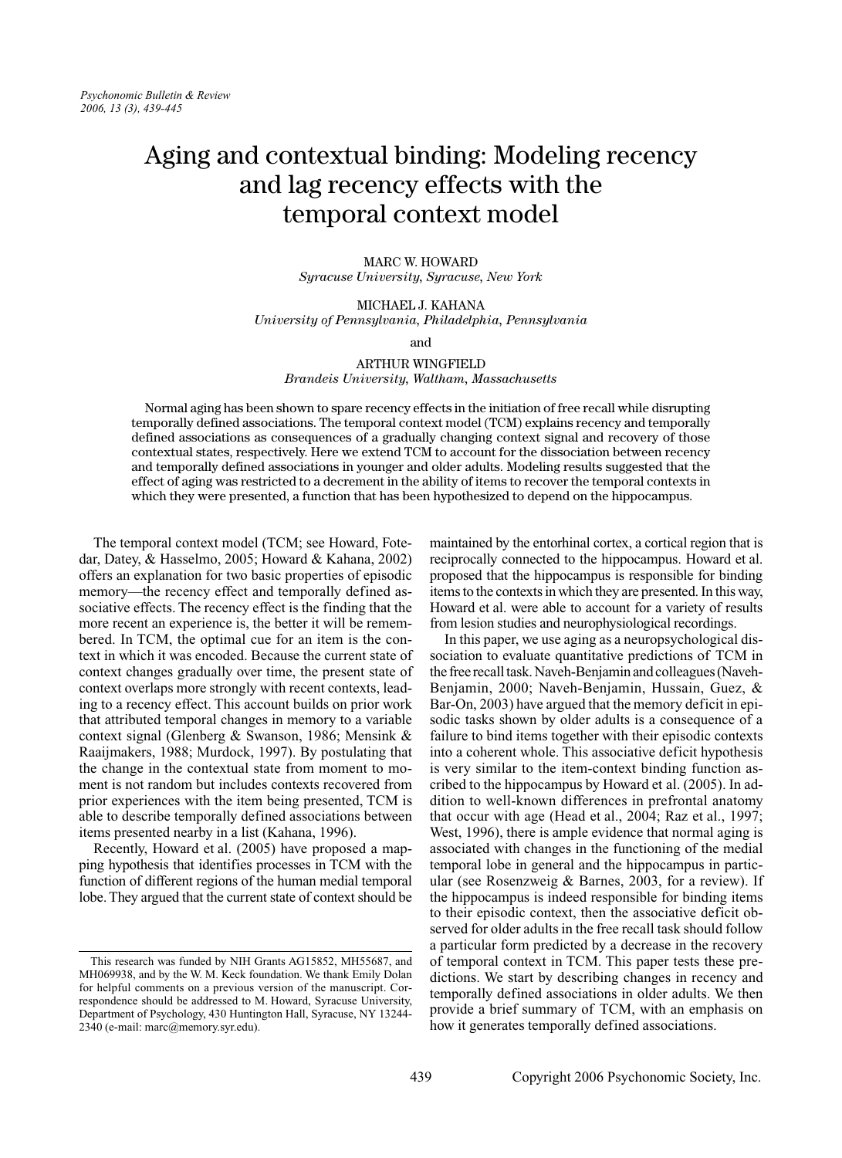# Aging and contextual binding: Modeling recency and lag recency effects with the temporal context model

**MARC W. HOWARD** Syracuse University, Syracuse, New York

MICHAEL J. KAHANA University of Pennsylvania, Philadelphia, Pennsylvania

and

**ARTHUR WINGFIELD** Brandeis University, Waltham, Massachusetts

Normal aging has been shown to spare recency effects in the initiation of free recall while disrupting temporally defined associations. The temporal context model (TCM) explains recency and temporally defined associations as consequences of a gradually changing context signal and recovery of those contextual states, respectively. Here we extend TCM to account for the dissociation between recency and temporally defined associations in younger and older adults. Modeling results suggested that the effect of aging was restricted to a decrement in the ability of items to recover the temporal contexts in which they were presented, a function that has been hypothesized to depend on the hippocampus.

The temporal context model (TCM; see Howard, Fotedar, Datey, & Hasselmo, 2005; Howard & Kahana, 2002) offers an explanation for two basic properties of episodic memory—the recency effect and temporally defined associative effects. The recency effect is the finding that the more recent an experience is, the better it will be remembered. In TCM, the optimal cue for an item is the context in which it was encoded. Because the current state of context changes gradually over time, the present state of context overlaps more strongly with recent contexts, leading to a recency effect. This account builds on prior work that attributed temporal changes in memory to a variable context signal (Glenberg & Swanson, 1986; Mensink & Raaijmakers, 1988; Murdock, 1997). By postulating that the change in the contextual state from moment to moment is not random but includes contexts recovered from prior experiences with the item being presented, TCM is able to describe temporally defined associations between items presented nearby in a list (Kahana, 1996).

Recently, Howard et al. (2005) have proposed a mapping hypothesis that identifies processes in TCM with the function of different regions of the human medial temporal lobe. They argued that the current state of context should be maintained by the entorhinal cortex, a cortical region that is reciprocally connected to the hippocampus. Howard et al. proposed that the hippocampus is responsible for binding items to the contexts in which they are presented. In this way, Howard et al. were able to account for a variety of results from lesion studies and neurophysiological recordings.

In this paper, we use aging as a neuropsychological dissociation to evaluate quantitative predictions of TCM in the free recall task. Naveh-Benjamin and colleagues (Naveh-Benjamin, 2000; Naveh-Benjamin, Hussain, Guez, & Bar-On, 2003) have argued that the memory deficit in episodic tasks shown by older adults is a consequence of a failure to bind items together with their episodic contexts into a coherent whole. This associative deficit hypothesis is very similar to the item-context binding function ascribed to the hippocampus by Howard et al. (2005). In addition to well-known differences in prefrontal anatomy that occur with age (Head et al., 2004; Raz et al., 1997; West, 1996), there is ample evidence that normal aging is associated with changes in the functioning of the medial temporal lobe in general and the hippocampus in particular (see Rosenzweig & Barnes, 2003, for a review). If the hippocampus is indeed responsible for binding items to their episodic context, then the associative deficit observed for older adults in the free recall task should follow a particular form predicted by a decrease in the recovery of temporal context in TCM. This paper tests these predictions. We start by describing changes in recency and temporally defined associations in older adults. We then provide a brief summary of TCM, with an emphasis on how it generates temporally defined associations.

This research was funded by NIH Grants AG15852, MH55687, and MH069938, and by the W. M. Keck foundation. We thank Emily Dolan for helpful comments on a previous version of the manuscript. Correspondence should be addressed to M. Howard, Syracuse University, Department of Psychology, 430 Huntington Hall, Syracuse, NY 13244-2340 (e-mail: marc@memory.syr.edu).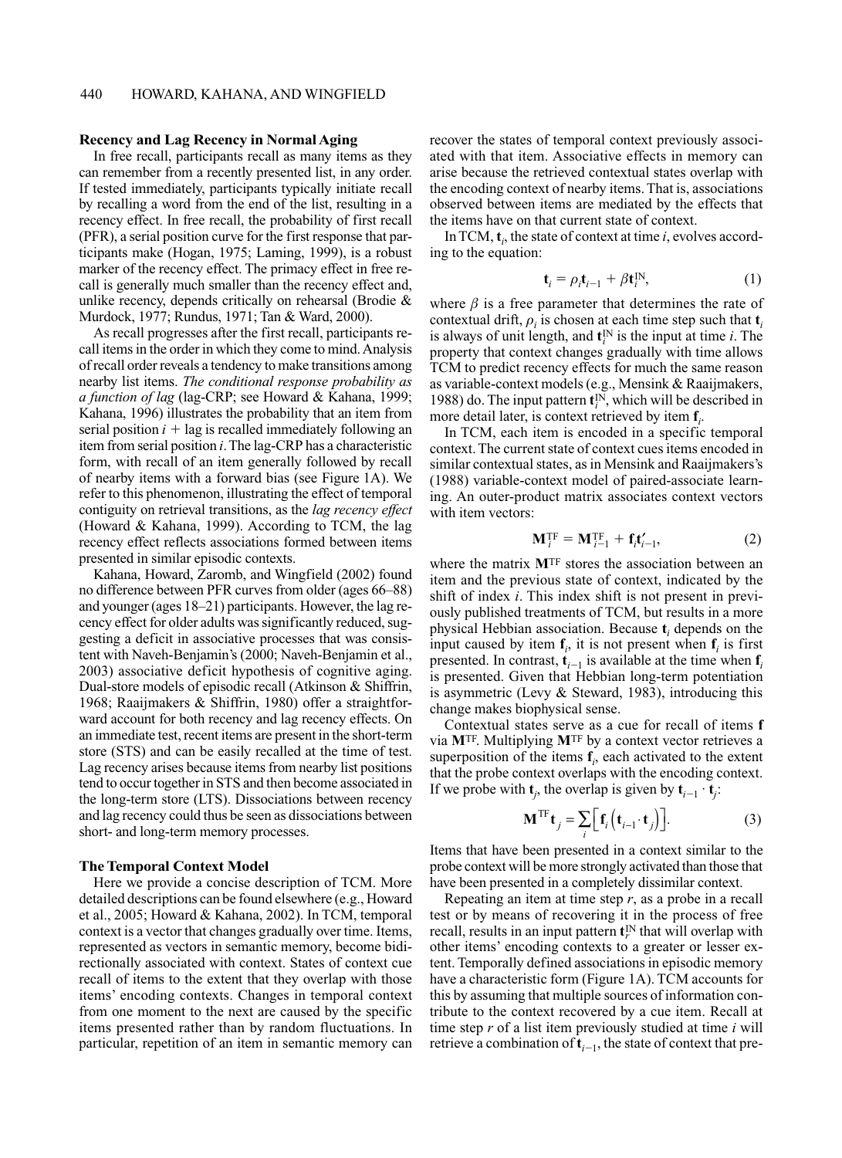### **Recency and Lag Recency in Normal Aging**

In free recall, participants recall as many items as they can remember from a recently presented list, in any order. If tested immediately, participants typically initiate recall by recalling a word from the end of the list, resulting in a recency effect. In free recall, the probability of first recall (PFR), a serial position curve for the first response that participants make (Hogan, 1975; Laming, 1999), is a robust marker of the recency effect. The primacy effect in free recall is generally much smaller than the recency effect and, unlike recency, depends critically on rehearsal (Brodie & Murdock, 1977; Rundus, 1971; Tan & Ward, 2000).

As recall progresses after the first recall, participants recall items in the order in which they come to mind. Analysis of recall order reveals a tendency to make transitions among nearby list items. The conditional response probability as a function of lag (lag-CRP; see Howard & Kahana, 1999; Kahana, 1996) illustrates the probability that an item from serial position  $i + \log$  is recalled immediately following an item from serial position *i*. The lag-CRP has a characteristic form, with recall of an item generally followed by recall of nearby items with a forward bias (see Figure 1A). We refer to this phenomenon, illustrating the effect of temporal contiguity on retrieval transitions, as the *lag recency effect* (Howard & Kahana, 1999). According to TCM, the lag recency effect reflects associations formed between items presented in similar episodic contexts.

Kahana, Howard, Zaromb, and Wingfield (2002) found no difference between PFR curves from older (ages 66–88) and younger (ages 18–21) participants. However, the lag recency effect for older adults was significantly reduced, suggesting a deficit in associative processes that was consistent with Naveh-Benjamin's (2000; Naveh-Benjamin et al., 2003) associative deficit hypothesis of cognitive aging. Dual-store models of episodic recall (Atkinson & Shiffrin, 1968; Raaijmakers & Shiffrin, 1980) offer a straightforward account for both recency and lag recency effects. On an immediate test, recent items are present in the short-term store (STS) and can be easily recalled at the time of test. Lag recency arises because items from nearby list positions tend to occur together in STS and then become associated in the long-term store (LTS). Dissociations between recency and lag recency could thus be seen as dissociations between short- and long-term memory processes.

## **The Temporal Context Model**

Here we provide a concise description of TCM. More detailed descriptions can be found elsewhere (e.g., Howard et al., 2005; Howard & Kahana, 2002). In TCM, temporal context is a vector that changes gradually over time. Items, represented as vectors in semantic memory, become bidirectionally associated with context. States of context cue recall of items to the extent that they overlap with those items' encoding contexts. Changes in temporal context from one moment to the next are caused by the specific items presented rather than by random fluctuations. In particular, repetition of an item in semantic memory can recover the states of temporal context previously associated with that item. Associative effects in memory can arise because the retrieved contextual states overlap with the encoding context of nearby items. That is, associations observed between items are mediated by the effects that the items have on that current state of context.

In TCM,  $t_i$ , the state of context at time i, evolves according to the equation:

$$
\mathbf{t}_i = \rho_i \mathbf{t}_{i-1} + \beta \mathbf{t}_i^{\text{IN}},\tag{1}
$$

where  $\beta$  is a free parameter that determines the rate of contextual drift,  $\rho_i$  is chosen at each time step such that  $t_i$ is always of unit length, and  $\mathbf{t}_i^N$  is the input at time *i*. The property that context changes gradually with time allows TCM to predict recency effects for much the same reason as variable-context models (e.g., Mensink & Raaijmakers, 1988) do. The input pattern  $t_i^N$ , which will be described in more detail later, is context retrieved by item  $f_i$ .

In TCM, each item is encoded in a specific temporal context. The current state of context cues items encoded in similar contextual states, as in Mensink and Raaijmakers's (1988) variable-context model of paired-associate learning. An outer-product matrix associates context vectors with item vectors:

$$
\mathbf{M}_{i}^{\mathrm{TF}} = \mathbf{M}_{i-1}^{\mathrm{TF}} + \mathbf{f}_{i}\mathbf{t}'_{i-1},\tag{2}
$$

where the matrix MTF stores the association between an item and the previous state of context, indicated by the shift of index  $i$ . This index shift is not present in previously published treatments of TCM, but results in a more physical Hebbian association. Because  $t_i$ , depends on the input caused by item  $f_i$ , it is not present when  $f_i$  is first presented. In contrast,  $t_{i-1}$  is available at the time when  $f_i$ is presented. Given that Hebbian long-term potentiation is asymmetric (Levy  $\&$  Steward, 1983), introducing this change makes biophysical sense.

Contextual states serve as a cue for recall of items f via MTF. Multiplying MTF by a context vector retrieves a superposition of the items  $f_i$ , each activated to the extent that the probe context overlaps with the encoding context. If we probe with  $t_i$ , the overlap is given by  $t_{i-1} \cdot t_i$ .

$$
\mathbf{M}^{\mathrm{TF}}\mathbf{t}_{j} = \sum_{i} \Big[ \mathbf{f}_{i} \Big( \mathbf{t}_{i-1} \cdot \mathbf{t}_{j} \Big) \Big]. \tag{3}
$$

Items that have been presented in a context similar to the probe context will be more strongly activated than those that have been presented in a completely dissimilar context.

Repeating an item at time step  $r$ , as a probe in a recall test or by means of recovering it in the process of free recall, results in an input pattern  $\mathbf{t}_r^N$  that will overlap with other items' encoding contexts to a greater or lesser extent. Temporally defined associations in episodic memory have a characteristic form (Figure 1A). TCM accounts for this by assuming that multiple sources of information contribute to the context recovered by a cue item. Recall at time step r of a list item previously studied at time i will retrieve a combination of  $t_{i-1}$ , the state of context that pre-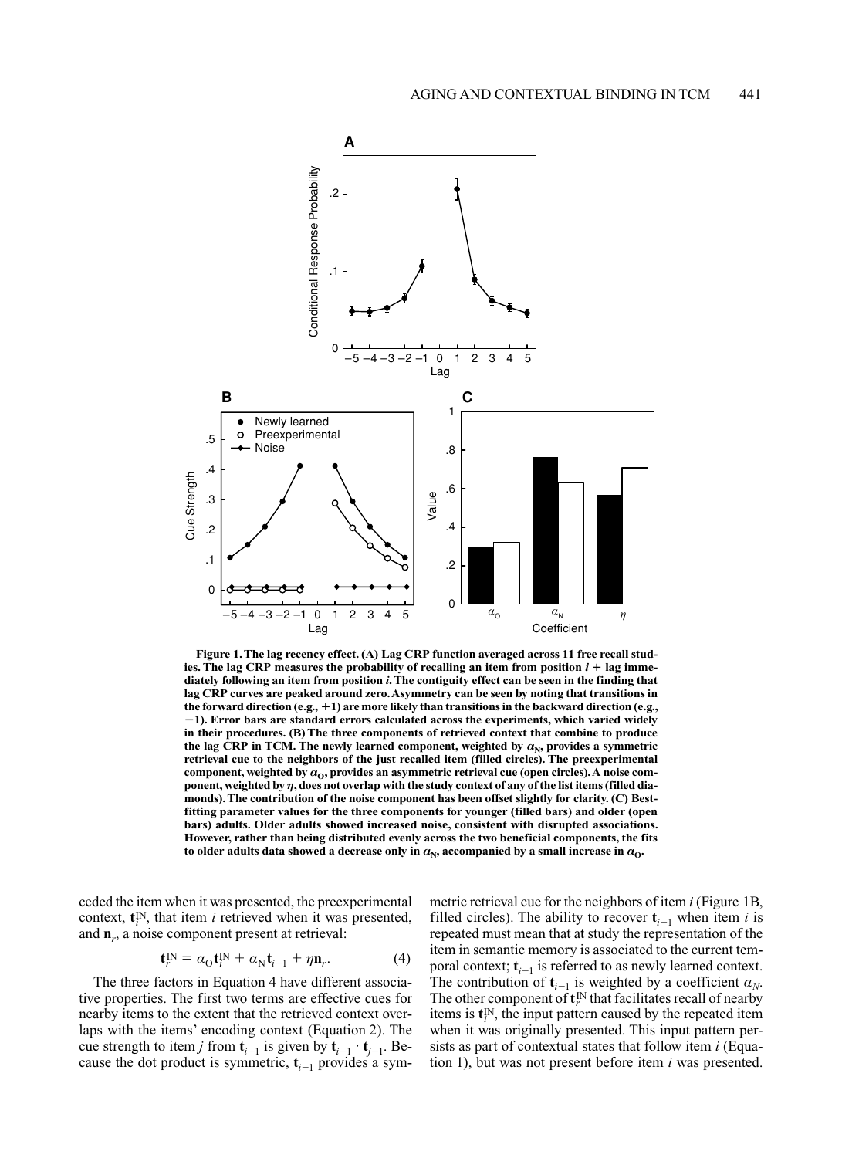

Figure 1. The lag recency effect. (A) Lag CRP function averaged across 11 free recall studies. The lag CRP measures the probability of recalling an item from position  $i + \log$  immediately following an item from position *i*. The contiguity effect can be seen in the finding that lag CRP curves are peaked around zero. Asymmetry can be seen by noting that transitions in the forward direction (e.g.,  $+1$ ) are more likely than transitions in the backward direction (e.g.,  $-1$ ). Error bars are standard errors calculated across the experiments, which varied widely in their procedures. (B) The three components of retrieved context that combine to produce the lag CRP in TCM. The newly learned component, weighted by  $\alpha_N$ , provides a symmetric retrieval cue to the neighbors of the just recalled item (filled circles). The preexperimental component, weighted by  $a_0$ , provides an asymmetric retrieval cue (open circles). A noise component, weighted by  $\eta$ , does not overlap with the study context of any of the list items (filled diamonds). The contribution of the noise component has been offset slightly for clarity. (C) Bestfitting parameter values for the three components for younger (filled bars) and older (open bars) adults. Older adults showed increased noise, consistent with disrupted associations. However, rather than being distributed evenly across the two beneficial components, the fits to older adults data showed a decrease only in  $a_{\rm N}$ , accompanied by a small increase in  $a_{\rm O}$ .

ceded the item when it was presented, the preexperimental context,  $\mathbf{t}_{i}^{N}$ , that item *i* retrieved when it was presented, and  $\mathbf{n}_r$ , a noise component present at retrieval:

 $\mathbf{f}$ 

$$
{}_{r}^{\text{IN}} = \alpha_{\text{O}} \mathbf{t}_{i}^{\text{IN}} + \alpha_{\text{N}} \mathbf{t}_{i-1} + \eta \mathbf{n}_{r}. \tag{4}
$$

The three factors in Equation 4 have different associative properties. The first two terms are effective cues for nearby items to the extent that the retrieved context overlaps with the items' encoding context (Equation 2). The cue strength to item *j* from  $t_{i-1}$  is given by  $t_{i-1} \cdot t_{i-1}$ . Because the dot product is symmetric,  $t_{i-1}$  provides a symmetric retrieval cue for the neighbors of item i (Figure 1B, filled circles). The ability to recover  $t_{i-1}$  when item i is repeated must mean that at study the representation of the item in semantic memory is associated to the current temporal context;  $t_{i-1}$  is referred to as newly learned context. The contribution of  $t_{i-1}$  is weighted by a coefficient  $a_N$ . The other component of  $\mathbf{t}_r^{\text{IN}}$  that facilitates recall of nearby items is  $\mathbf{t}_i^{\text{IN}}$ , the input pattern caused by the repeated item when it was originally presented. This input pattern persists as part of contextual states that follow item *i* (Equation 1), but was not present before item *i* was presented.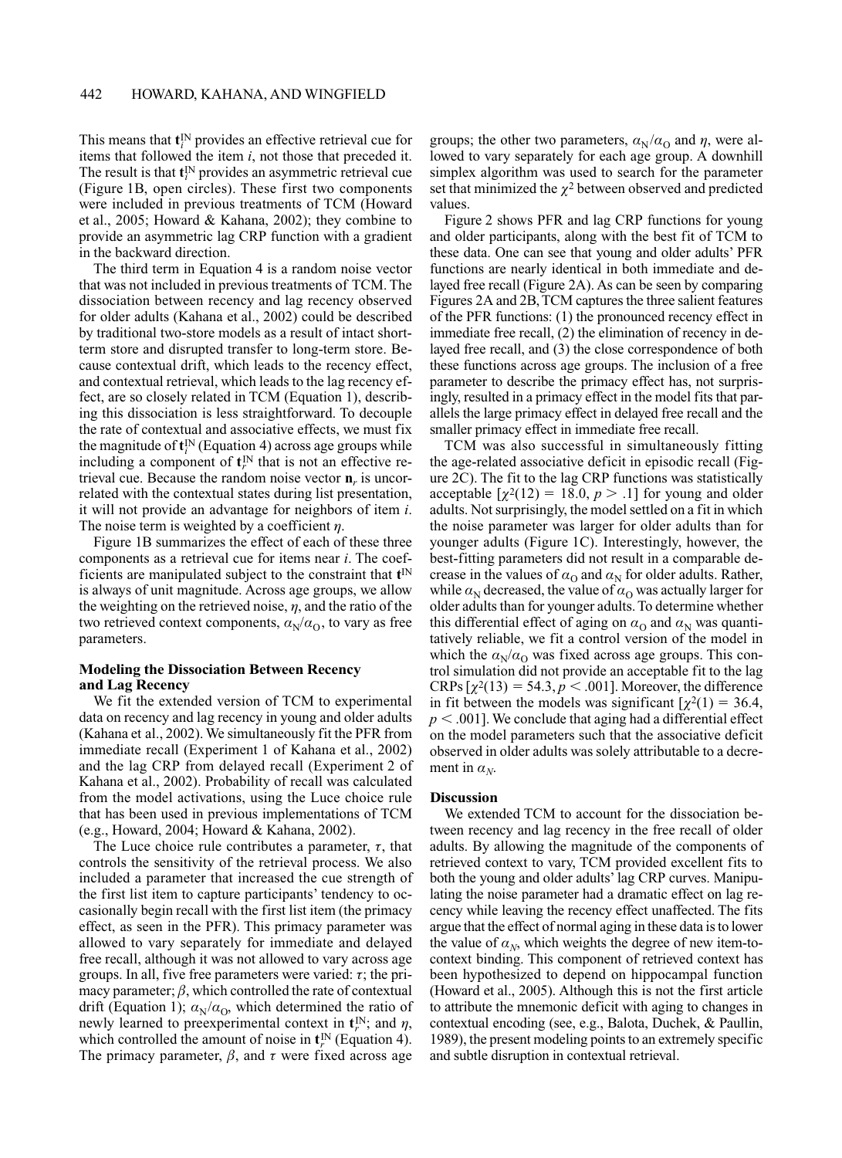This means that  $\mathbf{t}^{\text{IN}}$  provides an effective retrieval cue for items that followed the item  $i$ , not those that preceded it. The result is that  $\mathbf{t}^{\text{IN}}$  provides an asymmetric retrieval cue (Figure 1B, open circles). These first two components were included in previous treatments of TCM (Howard et al., 2005; Howard & Kahana, 2002); they combine to provide an asymmetric lag CRP function with a gradient in the backward direction.

The third term in Equation 4 is a random noise vector that was not included in previous treatments of TCM. The dissociation between recency and lag recency observed for older adults (Kahana et al., 2002) could be described by traditional two-store models as a result of intact shortterm store and disrupted transfer to long-term store. Because contextual drift, which leads to the recency effect, and contextual retrieval, which leads to the lag recency effect, are so closely related in TCM (Equation 1), describing this dissociation is less straightforward. To decouple the rate of contextual and associative effects, we must fix the magnitude of  $\mathbf{t}^{\text{IN}}$  (Equation 4) across age groups while including a component of  $\mathbf{t}_{r}^{\text{IN}}$  that is not an effective retrieval cue. Because the random noise vector  $\mathbf{n}_r$  is uncorrelated with the contextual states during list presentation, it will not provide an advantage for neighbors of item  $i$ . The noise term is weighted by a coefficient  $\eta$ .

Figure 1B summarizes the effect of each of these three components as a retrieval cue for items near *i*. The coefficients are manipulated subject to the constraint that  $t^{\text{IN}}$ is always of unit magnitude. Across age groups, we allow the weighting on the retrieved noise,  $\eta$ , and the ratio of the two retrieved context components,  $a_N/a_O$ , to vary as free parameters.

# **Modeling the Dissociation Between Recency** and Lag Recency

We fit the extended version of TCM to experimental data on recency and lag recency in young and older adults (Kahana et al., 2002). We simultaneously fit the PFR from immediate recall (Experiment 1 of Kahana et al., 2002) and the lag CRP from delayed recall (Experiment 2 of Kahana et al., 2002). Probability of recall was calculated from the model activations, using the Luce choice rule that has been used in previous implementations of TCM (e.g., Howard, 2004; Howard & Kahana, 2002).

The Luce choice rule contributes a parameter,  $\tau$ , that controls the sensitivity of the retrieval process. We also included a parameter that increased the cue strength of the first list item to capture participants' tendency to occasionally begin recall with the first list item (the primacy effect, as seen in the PFR). This primacy parameter was allowed to vary separately for immediate and delayed free recall, although it was not allowed to vary across age groups. In all, five free parameters were varied:  $\tau$ ; the primacy parameter;  $\beta$ , which controlled the rate of contextual drift (Equation 1);  $\alpha_{N}/\alpha_{O}$ , which determined the ratio of newly learned to preexperimental context in  $\mathbf{t}_r^{\text{IN}}$ ; and  $\eta$ , which controlled the amount of noise in  $\mathbf{t}_r^{\text{IN}}$  (Equation 4). The primacy parameter,  $\beta$ , and  $\tau$  were fixed across age

groups; the other two parameters,  $\alpha_{N}/\alpha_{O}$  and  $\eta$ , were allowed to vary separately for each age group. A downhill simplex algorithm was used to search for the parameter set that minimized the  $\chi^2$  between observed and predicted values.

Figure 2 shows PFR and lag CRP functions for young and older participants, along with the best fit of TCM to these data. One can see that young and older adults' PFR functions are nearly identical in both immediate and delayed free recall (Figure 2A). As can be seen by comparing Figures 2A and 2B, TCM captures the three salient features of the PFR functions: (1) the pronounced recency effect in immediate free recall,  $(2)$  the elimination of recency in delayed free recall, and (3) the close correspondence of both these functions across age groups. The inclusion of a free parameter to describe the primacy effect has, not surprisingly, resulted in a primacy effect in the model fits that parallels the large primacy effect in delayed free recall and the smaller primacy effect in immediate free recall.

TCM was also successful in simultaneously fitting the age-related associative deficit in episodic recall (Figure 2C). The fit to the lag CRP functions was statistically acceptable  $[\chi^2(12) = 18.0, p > .1]$  for young and older adults. Not surprisingly, the model settled on a fit in which the noise parameter was larger for older adults than for younger adults (Figure 1C). Interestingly, however, the best-fitting parameters did not result in a comparable decrease in the values of  $\alpha_0$  and  $\alpha_N$  for older adults. Rather, while  $\alpha_N$  decreased, the value of  $\alpha_0$  was actually larger for older adults than for younger adults. To determine whether this differential effect of aging on  $\alpha_0$  and  $\alpha_N$  was quantitatively reliable, we fit a control version of the model in which the  $a_N/a_O$  was fixed across age groups. This control simulation did not provide an acceptable fit to the lag CRPs  $\lceil \chi^2(13) \rceil = 54.3, p \rceil 001$ . Moreover, the difference in fit between the models was significant  $\lceil \chi^2(1) \rceil = 36.4$ ,  $p < .001$ ]. We conclude that aging had a differential effect on the model parameters such that the associative deficit observed in older adults was solely attributable to a decrement in  $\alpha_{N}$ .

#### **Discussion**

We extended TCM to account for the dissociation between recency and lag recency in the free recall of older adults. By allowing the magnitude of the components of retrieved context to vary, TCM provided excellent fits to both the young and older adults' lag CRP curves. Manipulating the noise parameter had a dramatic effect on lag recency while leaving the recency effect unaffected. The fits argue that the effect of normal aging in these data is to lower the value of  $\alpha_N$ , which weights the degree of new item-tocontext binding. This component of retrieved context has been hypothesized to depend on hippocampal function (Howard et al., 2005). Although this is not the first article to attribute the mnemonic deficit with aging to changes in contextual encoding (see, e.g., Balota, Duchek, & Paullin, 1989), the present modeling points to an extremely specific and subtle disruption in contextual retrieval.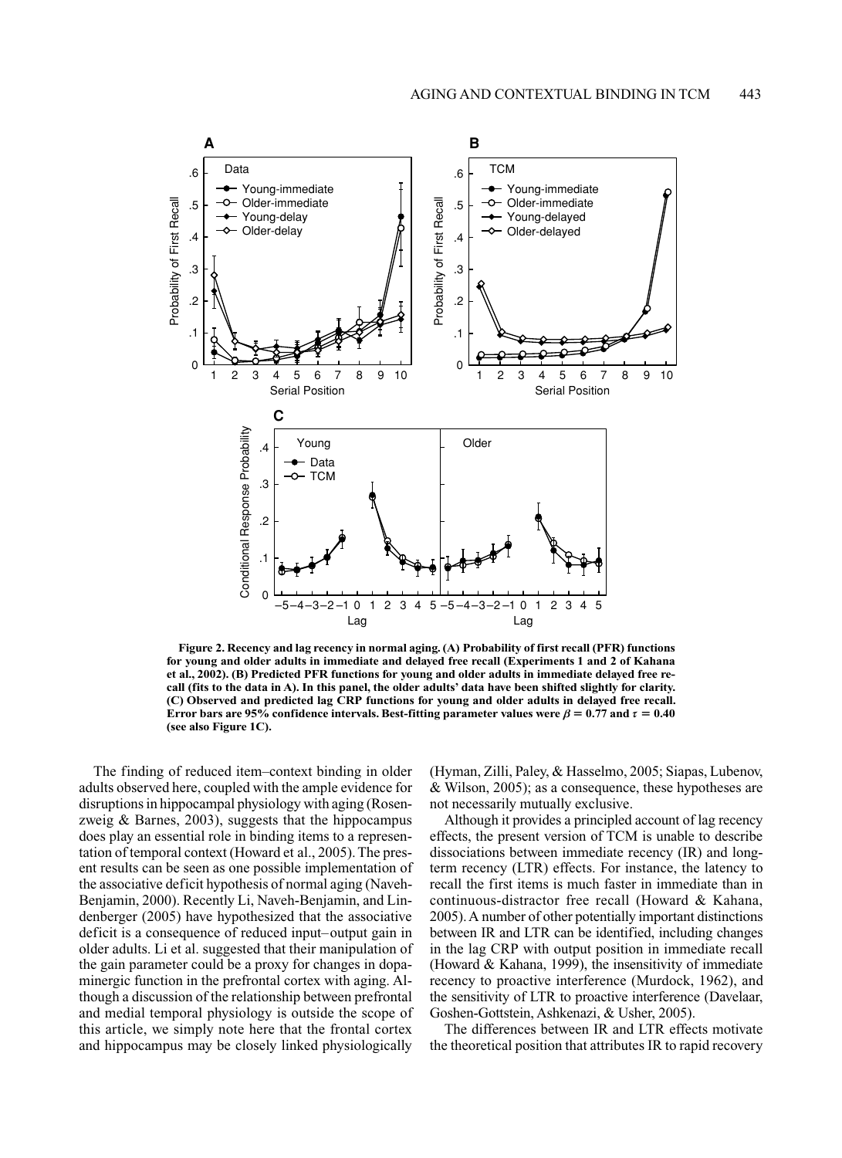

Figure 2. Recency and lag recency in normal aging. (A) Probability of first recall (PFR) functions for young and older adults in immediate and delayed free recall (Experiments 1 and 2 of Kahana et al., 2002). (B) Predicted PFR functions for young and older adults in immediate delayed free recall (fits to the data in A). In this panel, the older adults' data have been shifted slightly for clarity. (C) Observed and predicted lag CRP functions for young and older adults in delayed free recall. Error bars are 95% confidence intervals. Best-fitting parameter values were  $\beta$  = 0.77 and  $\tau$  = 0.40 (see also Figure 1C).

The finding of reduced item-context binding in older adults observed here, coupled with the ample evidence for disruptions in hippocampal physiology with aging (Rosenzweig  $\&$  Barnes, 2003), suggests that the hippocampus does play an essential role in binding items to a representation of temporal context (Howard et al., 2005). The present results can be seen as one possible implementation of the associative deficit hypothesis of normal aging (Naveh-Benjamin, 2000). Recently Li, Naveh-Benjamin, and Lindenberger (2005) have hypothesized that the associative deficit is a consequence of reduced input-output gain in older adults. Li et al. suggested that their manipulation of the gain parameter could be a proxy for changes in dopaminergic function in the prefrontal cortex with aging. Although a discussion of the relationship between prefrontal and medial temporal physiology is outside the scope of this article, we simply note here that the frontal cortex and hippocampus may be closely linked physiologically

(Hyman, Zilli, Paley, & Hasselmo, 2005; Siapas, Lubenov, & Wilson, 2005); as a consequence, these hypotheses are not necessarily mutually exclusive.

Although it provides a principled account of lag recency effects, the present version of TCM is unable to describe dissociations between immediate recency (IR) and longterm recency (LTR) effects. For instance, the latency to recall the first items is much faster in immediate than in continuous-distractor free recall (Howard & Kahana, 2005). A number of other potentially important distinctions between IR and LTR can be identified, including changes in the lag CRP with output position in immediate recall (Howard & Kahana, 1999), the insensitivity of immediate recency to proactive interference (Murdock, 1962), and the sensitivity of LTR to proactive interference (Davelaar, Goshen-Gottstein, Ashkenazi, & Usher, 2005).

The differences between IR and LTR effects motivate the theoretical position that attributes IR to rapid recovery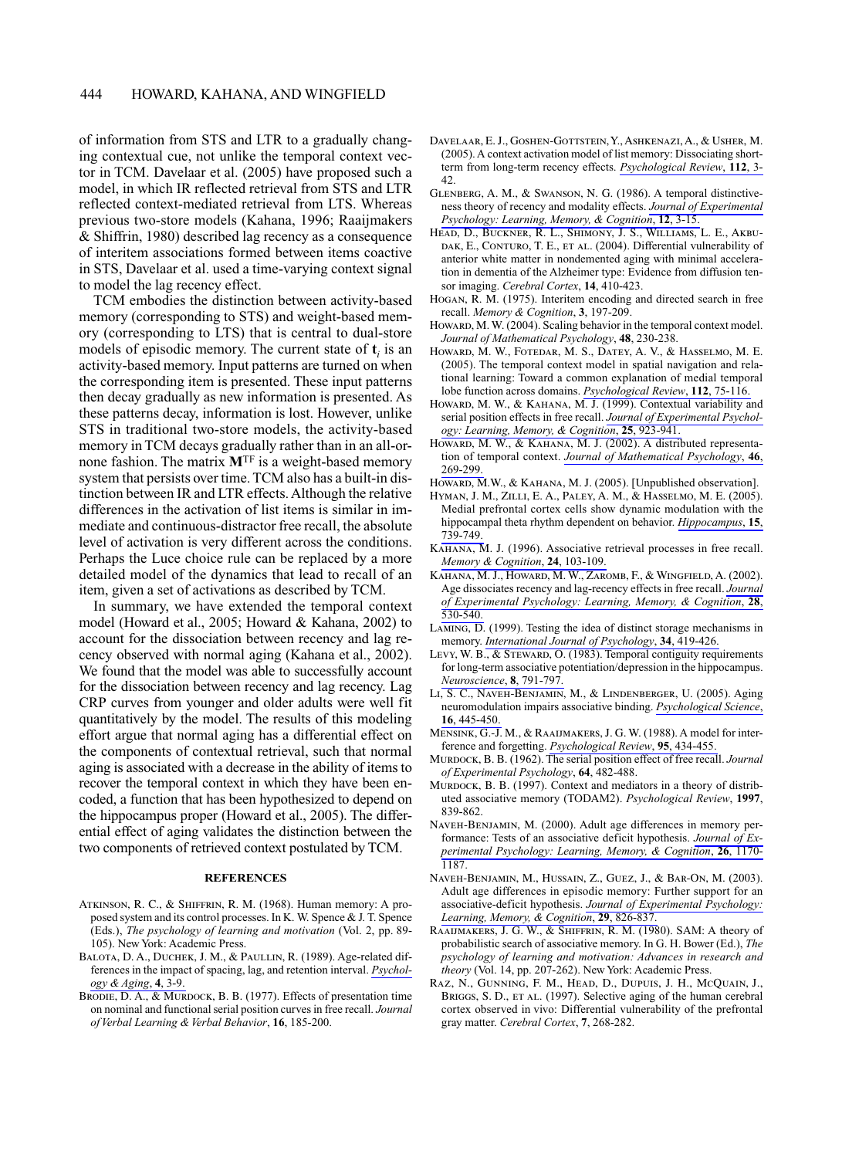of information from STS and LTR to a gradually changing contextual cue, not unlike the temporal context vector in TCM. Davelaar et al. (2005) have proposed such a model, in which IR reflected retrieval from STS and LTR reflected context-mediated retrieval from LTS. Whereas previous two-store models (Kahana, 1996; Raaijmakers & Shiffrin, 1980) described lag recency as a consequence of interitem associations formed between items coactive in STS, Davelaar et al. used a time-varying context signal to model the lag recency effect.

TCM embodies the distinction between activity-based memory (corresponding to STS) and weight-based memory (corresponding to LTS) that is central to dual-store models of episodic memory. The current state of **t**, is an activity-based memory. Input patterns are turned on when the corresponding item is presented. These input patterns then decay gradually as new information is presented. As these patterns decay, information is lost. However, unlike STS in traditional two-store models, the activity-based memory in TCM decays gradually rather than in an all-ornone fashion. The matrix **M**<sup>TF</sup> is a weight-based memory system that persists over time. TCM also has a built-in distinction between IR and LTR effects. Although the relative differences in the activation of list items is similar in immediate and continuous-distractor free recall, the absolute level of activation is very different across the conditions. Perhaps the Luce choice rule can be replaced by a more detailed model of the dynamics that lead to recall of an item, given a set of activations as described by TCM.

In summary, we have extended the temporal context model (Howard et al., 2005; Howard & Kahana, 2002) to account for the dissociation between recency and lag recency observed with normal aging (Kahana et al., 2002). We found that the model was able to successfully account for the dissociation between recency and lag recency. Lag CRP curves from younger and older adults were well fit quantitatively by the model. The results of this modeling effort argue that normal aging has a differential effect on the components of contextual retrieval, such that normal aging is associated with a decrease in the ability of items to recover the temporal context in which they have been encoded, a function that has been hypothesized to depend on the hippocampus proper (Howard et al., 2005). The differential effect of aging validates the distinction between the two components of retrieved context postulated by TCM.

#### **REFERENCES**

- ATKINSON, R. C., & SHIFFRIN, R. M. (1968). Human memory: A proposed system and its control processes. In K. W. Spence & J. T. Spence (Eds.), The psychology of learning and motivation (Vol. 2, pp. 89-105). New York: Academic Press.
- BALOTA, D. A., DUCHEK, J. M., & PAULLIN, R. (1989). Age-related differences in the impact of spacing, lag, and retention interval. Psychology & Aging, 4, 3-9.
- BRODIE, D. A., & MURDOCK, B. B. (1977). Effects of presentation time on nominal and functional serial position curves in free recall. Journal of Verbal Learning & Verbal Behavior, 16, 185-200.
- DAVELAAR, E. J., GOSHEN-GOTTSTEIN, Y., ASHKENAZI, A., & USHER, M. (2005). A context activation model of list memory: Dissociating shortterm from long-term recency effects. Psychological Review, 112, 3- $42$
- GLENBERG, A. M., & SWANSON, N. G. (1986). A temporal distinctiveness theory of recency and modality effects. Journal of Experimental Psychology: Learning, Memory, & Cognition, 12, 3-15.
- HEAD, D., BUCKNER, R. L., SHIMONY, J. S., WILLIAMS, L. E., AKBU-DAK, E., CONTURO, T. E., ET AL. (2004). Differential vulnerability of anterior white matter in nondemented aging with minimal acceleration in dementia of the Alzheimer type: Evidence from diffusion tensor imaging. Cerebral Cortex, 14, 410-423.
- HOGAN, R. M. (1975). Interitem encoding and directed search in free recall. Memory & Cognition, 3, 197-209.
- HOWARD, M. W. (2004). Scaling behavior in the temporal context model. Journal of Mathematical Psychology, 48, 230-238.
- HOWARD, M. W., FOTEDAR, M. S., DATEY, A. V., & HASSELMO, M. E. (2005). The temporal context model in spatial navigation and relational learning: Toward a common explanation of medial temporal lobe function across domains. Psychological Review, 112, 75-116.
- HOWARD, M. W., & KAHANA, M. J. (1999). Contextual variability and serial position effects in free recall. Journal of Experimental Psychology: Learning, Memory, & Cognition, 25, 923-941.
- HOWARD, M. W., & KAHANA, M. J. (2002). A distributed representation of temporal context. Journal of Mathematical Psychology, 46, 269-299.
- HOWARD, M.W., & KAHANA, M.J. (2005). [Unpublished observation].
- HYMAN, J. M., ZILLI, E. A., PALEY, A. M., & HASSELMO, M. E. (2005). Medial prefrontal cortex cells show dynamic modulation with the hippocampal theta rhythm dependent on behavior. *Hippocampus*, 15, 739-749.
- KAHANA, M. J. (1996). Associative retrieval processes in free recall. Memory & Cognition, 24, 103-109.
- KAHANA, M. J., HOWARD, M. W., ZAROMB, F., & WINGFIELD, A. (2002). Age dissociates recency and lag-recency effects in free recall. Journal of Experimental Psychology: Learning, Memory, & Cognition, 28,  $530 - 540$ .
- LAMING, D. (1999). Testing the idea of distinct storage mechanisms in memory. International Journal of Psychology, 34, 419-426.
- LEVY, W. B., & STEWARD, O. (1983). Temporal contiguity requirements for long-term associative potentiation/depression in the hippocampus. Neuroscience, 8, 791-797.
- LI, S. C., NAVEH-BENJAMIN, M., & LINDENBERGER, U. (2005). Aging neuromodulation impairs associative binding. Psychological Science, 16.445-450.
- MENSINK, G.-J. M., & RAAIJMAKERS, J. G. W. (1988). A model for interference and forgetting. Psychological Review, 95, 434-455.
- MURDOCK, B. B. (1962). The serial position effect of free recall. Journal of Experimental Psychology, 64, 482-488.
- MURDOCK, B. B. (1997). Context and mediators in a theory of distributed associative memory (TODAM2). Psychological Review, 1997, 839-862.
- NAVEH-BENJAMIN, M. (2000). Adult age differences in memory performance: Tests of an associative deficit hypothesis. Journal of Experimental Psychology: Learning, Memory, & Cognition, 26, 1170-1187
- NAVEH-BENJAMIN, M., HUSSAIN, Z., GUEZ, J., & BAR-ON, M. (2003). Adult age differences in episodic memory: Further support for an associative-deficit hypothesis. Journal of Experimental Psychology: Learning, Memory, & Cognition, 29, 826-837.
- RAAIJMAKERS, J. G. W., & SHIFFRIN, R. M. (1980). SAM: A theory of probabilistic search of associative memory. In G. H. Bower (Ed.), The psychology of learning and motivation: Advances in research and theory (Vol. 14, pp. 207-262). New York: Academic Press.
- RAZ, N., GUNNING, F. M., HEAD, D., DUPUIS, J. H., MCQUAIN, J., BRIGGS, S. D., ET AL. (1997). Selective aging of the human cerebral cortex observed in vivo: Differential vulnerability of the prefrontal gray matter. Cerebral Cortex, 7, 268-282.